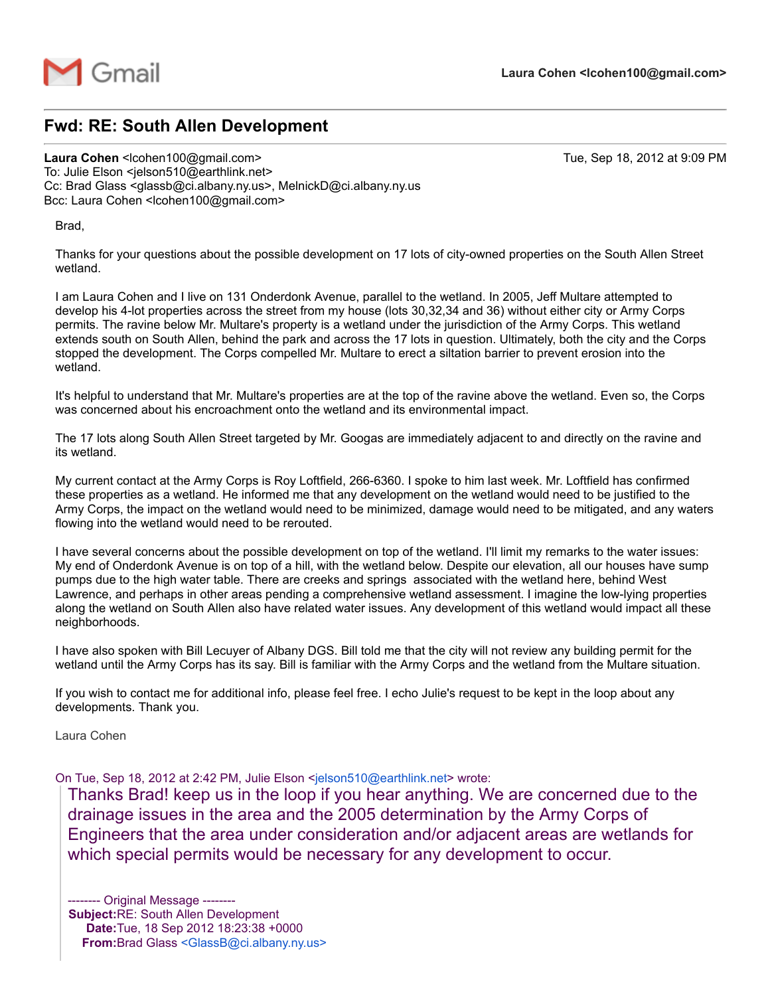

## Fwd: RE: South Allen Development

Laura Cohen <lcohen100@gmail.com> Tue, Sep 18, 2012 at 9:09 PM To: Julie Elson <jelson510@earthlink.net> Cc: Brad Glass <glassb@ci.albany.ny.us>, MelnickD@ci.albany.ny.us Bcc: Laura Cohen <lcohen100@gmail.com>

Brad,

Thanks for your questions about the possible development on 17 lots of city-owned properties on the South Allen Street wetland.

I am Laura Cohen and I live on 131 Onderdonk Avenue, parallel to the wetland. In 2005, Jeff Multare attempted to develop his 4-lot properties across the street from my house (lots 30,32,34 and 36) without either city or Army Corps permits. The ravine below Mr. Multare's property is a wetland under the jurisdiction of the Army Corps. This wetland extends south on South Allen, behind the park and across the 17 lots in question. Ultimately, both the city and the Corps stopped the development. The Corps compelled Mr. Multare to erect a siltation barrier to prevent erosion into the wetland.

It's helpful to understand that Mr. Multare's properties are at the top of the ravine above the wetland. Even so, the Corps was concerned about his encroachment onto the wetland and its environmental impact.

The 17 lots along South Allen Street targeted by Mr. Googas are immediately adjacent to and directly on the ravine and its wetland.

My current contact at the Army Corps is Roy Loftfield, 266-6360. I spoke to him last week. Mr. Loftfield has confirmed these properties as a wetland. He informed me that any development on the wetland would need to be justified to the Army Corps, the impact on the wetland would need to be minimized, damage would need to be mitigated, and any waters flowing into the wetland would need to be rerouted.

I have several concerns about the possible development on top of the wetland. I'll limit my remarks to the water issues: My end of Onderdonk Avenue is on top of a hill, with the wetland below. Despite our elevation, all our houses have sump pumps due to the high water table. There are creeks and springs associated with the wetland here, behind West Lawrence, and perhaps in other areas pending a comprehensive wetland assessment. I imagine the low-lying properties along the wetland on South Allen also have related water issues. Any development of this wetland would impact all these neighborhoods.

I have also spoken with Bill Lecuyer of Albany DGS. Bill told me that the city will not review any building permit for the wetland until the Army Corps has its say. Bill is familiar with the Army Corps and the wetland from the Multare situation.

If you wish to contact me for additional info, please feel free. I echo Julie's request to be kept in the loop about any developments. Thank you.

Laura Cohen

On Tue, Sep 18, 2012 at 2:42 PM, Julie Elson <[jelson510@earthlink.net>](mailto:jelson510@earthlink.net) wrote:

Thanks Brad! keep us in the loop if you hear anything. We are concerned due to the drainage issues in the area and the 2005 determination by the Army Corps of Engineers that the area under consideration and/or adjacent areas are wetlands for which special permits would be necessary for any development to occur.